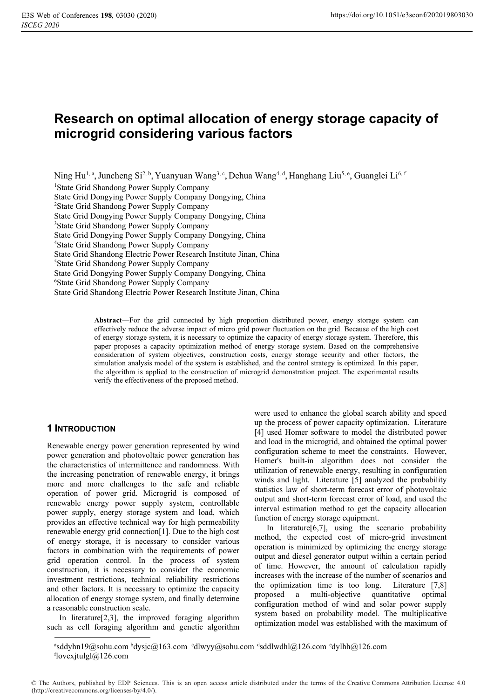# **Research on optimal allocation of energy storage capacity of microgrid considering various factors**

Ning Hu<sup>1, a</sup>, Juncheng Si<sup>2, b</sup>, Yuanyuan Wang<sup>3, c</sup>, Dehua Wang<sup>4, d</sup>, Hanghang Liu<sup>5, e</sup>, Guanglei Li<sup>6, f</sup>

1 State Grid Shandong Power Supply Company

State Grid Dongying Power Supply Company Dongying, China

2 State Grid Shandong Power Supply Company

State Grid Dongying Power Supply Company Dongying, China

<sup>3</sup>State Grid Shandong Power Supply Company

State Grid Dongying Power Supply Company Dongying, China

4 State Grid Shandong Power Supply Company

State Grid Shandong Electric Power Research Institute Jinan, China 5

State Grid Shandong Power Supply Company

State Grid Dongying Power Supply Company Dongying, China

6 State Grid Shandong Power Supply Company

State Grid Shandong Electric Power Research Institute Jinan, China

**Abstract—**For the grid connected by high proportion distributed power, energy storage system can effectively reduce the adverse impact of micro grid power fluctuation on the grid. Because of the high cost of energy storage system, it is necessary to optimize the capacity of energy storage system. Therefore, this paper proposes a capacity optimization method of energy storage system. Based on the comprehensive consideration of system objectives, construction costs, energy storage security and other factors, the simulation analysis model of the system is established, and the control strategy is optimized. In this paper, the algorithm is applied to the construction of microgrid demonstration project. The experimental results verify the effectiveness of the proposed method.

## **1 INTRODUCTION**

Renewable energy power generation represented by wind power generation and photovoltaic power generation has the characteristics of intermittence and randomness. With the increasing penetration of renewable energy, it brings more and more challenges to the safe and reliable operation of power grid. Microgrid is composed of renewable energy power supply system, controllable power supply, energy storage system and load, which provides an effective technical way for high permeability renewable energy grid connection[1]. Due to the high cost of energy storage, it is necessary to consider various factors in combination with the requirements of power grid operation control. In the process of system construction, it is necessary to consider the economic investment restrictions, technical reliability restrictions and other factors. It is necessary to optimize the capacity allocation of energy storage system, and finally determine a reasonable construction scale.

In literature[2,3], the improved foraging algorithm such as cell foraging algorithm and genetic algorithm were used to enhance the global search ability and speed up the process of power capacity optimization. Literature [4] used Homer software to model the distributed power and load in the microgrid, and obtained the optimal power configuration scheme to meet the constraints. However, Homer's built-in algorithm does not consider the utilization of renewable energy, resulting in configuration winds and light. Literature [5] analyzed the probability statistics law of short-term forecast error of photovoltaic output and short-term forecast error of load, and used the interval estimation method to get the capacity allocation function of energy storage equipment.

In literature[6,7], using the scenario probability method, the expected cost of micro-grid investment operation is minimized by optimizing the energy storage output and diesel generator output within a certain period of time. However, the amount of calculation rapidly increases with the increase of the number of scenarios and the optimization time is too long. Literature [7,8] proposed a multi-objective quantitative optimal configuration method of wind and solar power supply system based on probability model. The multiplicative optimization model was established with the maximum of

<sup>&</sup>lt;sup>a</sup>sddyhn19@sohu.com <sup>b</sup>dysjc@163.com <sup>c</sup>dlwyy@sohu.com <sup>d</sup>sddlwdhl@126.com <sup>c</sup>dylhh@126.com<br><sup>f</sup>lovexitulgl@126.com flovex jtulgl $@126$ .com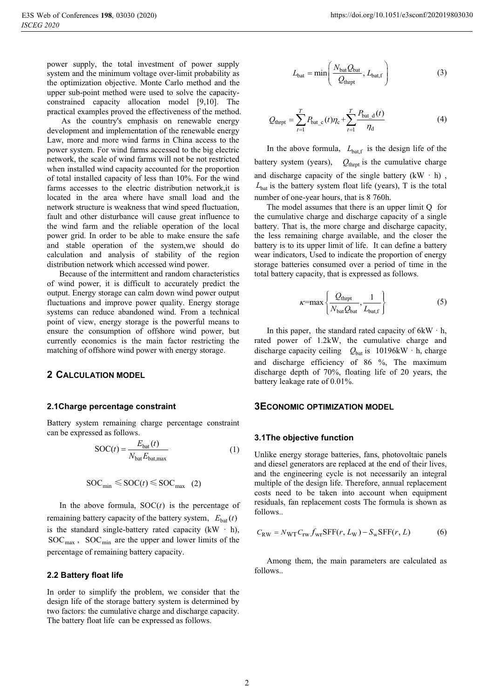power supply, the total investment of power supply system and the minimum voltage over-limit probability as the optimization objective. Monte Carlo method and the upper sub-point method were used to solve the capacityconstrained capacity allocation model [9,10]. The practical examples proved the effectiveness of the method.

As the country's emphasis on renewable energy development and implementation of the renewable energy Law, more and more wind farms in China access to the power system. For wind farms accessed to the big electric network, the scale of wind farms will not be not restricted when installed wind capacity accounted for the proportion of total installed capacity of less than 10%. For the wind farms accesses to the electric distribution network,it is located in the area where have small load and the network structure is weakness that wind speed fluctuation, fault and other disturbance will cause great influence to the wind farm and the reliable operation of the local power grid. In order to be able to make ensure the safe and stable operation of the system,we should do calculation and analysis of stability of the region distribution network which accessed wind power.

Because of the intermittent and random characteristics of wind power, it is difficult to accurately predict the output. Energy storage can calm down wind power output fluctuations and improve power quality. Energy storage systems can reduce abandoned wind. From a technical point of view, energy storage is the powerful means to ensure the consumption of offshore wind power, but currently economics is the main factor restricting the matching of offshore wind power with energy storage.

## **2 CALCULATION MODEL**

## **2.1Charge percentage constraint**

Battery system remaining charge percentage constraint can be expressed as follows.

$$
SOC(t) = \frac{E_{bat}(t)}{N_{bat}E_{bat,max}}
$$
 (1)

$$
SOC_{\min} \leq SOC(t) \leq SOC_{\max} \quad (2)
$$

In the above formula,  $SOC(t)$  is the percentage of remaining battery capacity of the battery system,  $E_{bat}(t)$ is the standard single-battery rated capacity  $(kW + h)$ ,  $SOC<sub>max</sub>$ ,  $SOC<sub>min</sub>$  are the upper and lower limits of the percentage of remaining battery capacity.

## **2.2 Battery float life**

In order to simplify the problem, we consider that the design life of the storage battery system is determined by two factors: the cumulative charge and discharge capacity. The battery float life can be expressed as follows.

$$
L_{\text{bat}} = \min\left(\frac{N_{\text{bat}}Q_{\text{bat}}}{Q_{\text{thpt}}}, L_{\text{bat,f}}\right)
$$
 (3)

$$
Q_{\text{thrpt}} = \sum_{t=1}^{T} P_{\text{bat}\_{\text{c}}}(t)\eta_{\text{c}} + \sum_{t=1}^{T} \frac{P_{\text{bat}\_{\text{d}}}(t)}{\eta_{\text{d}}}
$$
(4)

In the above formula,  $L_{\text{bat,f}}$  is the design life of the battery system (years),  $Q_{\text{thrpt}}$  is the cumulative charge and discharge capacity of the single battery  $(kW \cdot h)$ ,  $L_{\text{bat}}$  is the battery system float life (years), T is the total number of one-year hours, that is 8 760h.

The model assumes that there is an upper limit Q for the cumulative charge and discharge capacity of a single battery. That is, the more charge and discharge capacity, the less remaining charge available, and the closer the battery is to its upper limit of life. It can define a battery wear indicators, Used to indicate the proportion of energy storage batteries consumed over a period of time in the total battery capacity, that is expressed as follows.

$$
\kappa = \max \left\{ \frac{Q_{\text{thrpt}}}{N_{\text{bat}} Q_{\text{bat}}}, \frac{1}{L_{\text{bat,f}}} \right\} \tag{5}
$$

In this paper, the standard rated capacity of  $6kW \cdot h$ , rated power of 1.2kW, the cumulative charge and discharge capacity ceiling  $Q_{\text{bat}}$  is 10196kW  $\cdot$  h, charge and discharge efficiency of 86 %, The maximum discharge depth of 70%, floating life of 20 years, the battery leakage rate of 0.01%.

## **3ECONOMIC OPTIMIZATION MODEL**

#### **3.1The objective function**

Unlike energy storage batteries, fans, photovoltaic panels and diesel generators are replaced at the end of their lives, and the engineering cycle is not necessarily an integral multiple of the design life. Therefore, annual replacement costs need to be taken into account when equipment residuals, fan replacement costs The formula is shown as follows..

$$
C_{\rm RW} = N_{\rm WT} C_{\rm rw} f_{\rm wr} \text{SFF}(r, L_{\rm W}) - S_{\rm w} \text{SFF}(r, L) \tag{6}
$$

Among them, the main parameters are calculated as follows..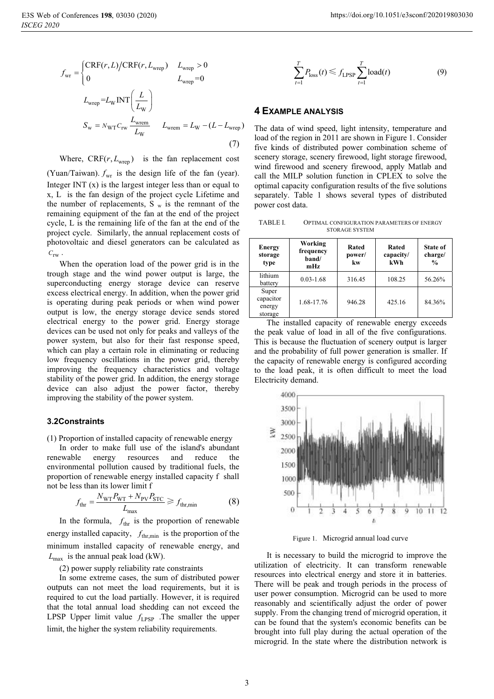$$
f_{\text{wr}} =\begin{cases} \text{CRF}(r, L) / \text{CRF}(r, L_{\text{wrep}}) & L_{\text{wrep}} > 0\\ 0 & L_{\text{wrep}} = 0 \end{cases}
$$
  

$$
L_{\text{wrep}} = L_{\text{W}} \text{INT} \left( \frac{L}{L_{\text{w}}} \right)
$$
  

$$
S_{\text{w}} = N_{\text{WT}} C_{\text{rw}} \frac{L_{\text{wrem}}}{L_{\text{w}}} \qquad L_{\text{wrem}} = L_{\text{w}} - (L - L_{\text{wrep}})
$$
  
(7)

Where,  $CRF(r, L<sub>wren</sub>)$  is the fan replacement cost (Yuan/Taiwan).  $f_{\text{wr}}$  is the design life of the fan (year). Integer INT (x) is the largest integer less than or equal to x, L is the fan design of the project cycle Lifetime and the number of replacements,  $S_w$  is the remnant of the remaining equipment of the fan at the end of the project cycle, L is the remaining life of the fan at the end of the project cycle. Similarly, the annual replacement costs of photovoltaic and diesel generators can be calculated as  $C_{\text{rw}}$ .

When the operation load of the power grid is in the trough stage and the wind power output is large, the superconducting energy storage device can reserve excess electrical energy. In addition, when the power grid is operating during peak periods or when wind power output is low, the energy storage device sends stored electrical energy to the power grid. Energy storage devices can be used not only for peaks and valleys of the power system, but also for their fast response speed, which can play a certain role in eliminating or reducing low frequency oscillations in the power grid, thereby improving the frequency characteristics and voltage stability of the power grid. In addition, the energy storage device can also adjust the power factor, thereby improving the stability of the power system.

## **3.2Constraints**

(1) Proportion of installed capacity of renewable energy

In order to make full use of the island's abundant renewable energy resources and reduce the environmental pollution caused by traditional fuels, the proportion of renewable energy installed capacity f shall not be less than its lower limit f

$$
f_{\text{thr}} = \frac{N_{\text{WT}} P_{\text{WT}} + N_{\text{PV}} P_{\text{STC}}}{L_{\text{max}}} \ge f_{\text{thr,min}}
$$
(8)

In the formula,  $f_{\text{thr}}$  is the proportion of renewable energy installed capacity,  $f_{thr,min}$  is the proportion of the minimum installed capacity of renewable energy, and  $L_{\text{max}}$  is the annual peak load (kW).

(2) power supply reliability rate constraints

In some extreme cases, the sum of distributed power outputs can not meet the load requirements, but it is required to cut the load partially. However, it is required that the total annual load shedding can not exceed the LPSP Upper limit value  $f_{LPSP}$  *for The smaller the upper* limit, the higher the system reliability requirements.

$$
\sum_{t=1}^{T} P_{\text{loss}}(t) \leq f_{\text{LPSP}} \sum_{t=1}^{T} \text{load}(t) \tag{9}
$$

### **4 EXAMPLE ANALYSIS**

The data of wind speed, light intensity, temperature and load of the region in 2011 are shown in Figure 1. Consider five kinds of distributed power combination scheme of scenery storage, scenery firewood, light storage firewood, wind firewood and scenery firewood, apply Matlab and call the MILP solution function in CPLEX to solve the optimal capacity configuration results of the five solutions separately. Table 1 shows several types of distributed power cost data.

TABLE I. OPTIMAL CONFIGURATION PARAMETERS OF ENERGY STORAGE SYSTEM

| <b>Energy</b><br>storage<br>type        | Working<br>frequency<br>band/<br>mHz | Rated<br>power/<br>kw | Rated<br>capacity/<br>kWh | State of<br>charge/<br>$\frac{0}{0}$ |
|-----------------------------------------|--------------------------------------|-----------------------|---------------------------|--------------------------------------|
| lithium<br>battery                      | $0.03 - 1.68$                        | 316.45                | 108.25                    | 56.26%                               |
| Super<br>capacitor<br>energy<br>storage | 1.68-17.76                           | 946.28                | 425.16                    | 84.36%                               |

The installed capacity of renewable energy exceeds the peak value of load in all of the five configurations. This is because the fluctuation of scenery output is larger and the probability of full power generation is smaller. If the capacity of renewable energy is configured according to the load peak, it is often difficult to meet the load Electricity demand.



Figure 1. Microgrid annual load curve

It is necessary to build the microgrid to improve the utilization of electricity. It can transform renewable resources into electrical energy and store it in batteries. There will be peak and trough periods in the process of user power consumption. Microgrid can be used to more reasonably and scientifically adjust the order of power supply. From the changing trend of microgrid operation, it can be found that the system's economic benefits can be brought into full play during the actual operation of the microgrid. In the state where the distribution network is